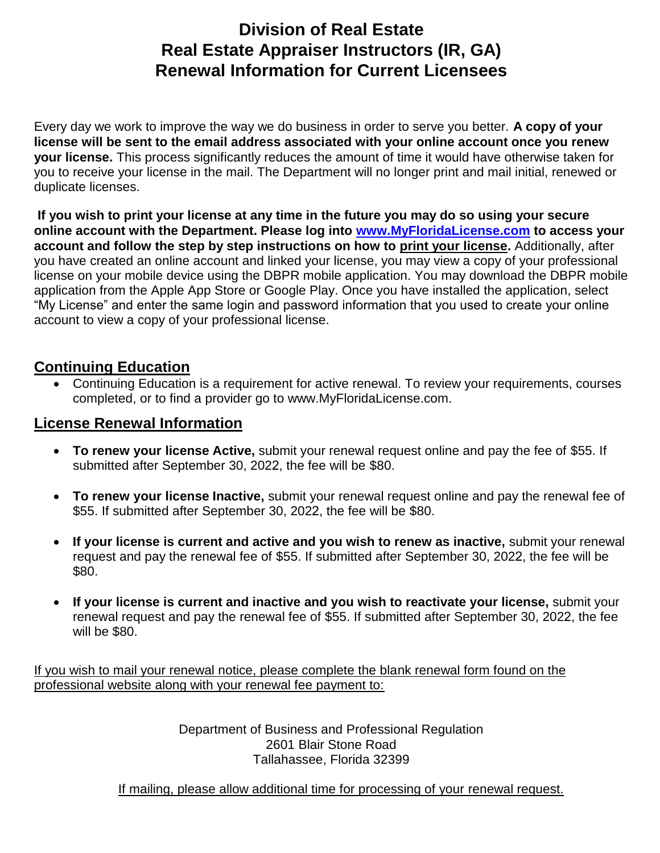## **Division of Real Estate Real Estate Appraiser Instructors (IR, GA) Renewal Information for Current Licensees**

Every day we work to improve the way we do business in order to serve you better. **A copy of your license will be sent to the email address associated with your online account once you renew your license.** This process significantly reduces the amount of time it would have otherwise taken for you to receive your license in the mail. The Department will no longer print and mail initial, renewed or duplicate licenses.

 **If you wish to print your license at any time in the future you may do so using your secure online account with the Department. Please log into [www.MyFloridaLicense.com](http://www.myfloridalicense.com/) to access your account and follow the step by step instructions on how to print your license.** Additionally, after you have created an online account and linked your license, you may view a copy of your professional license on your mobile device using the DBPR mobile application. You may download the DBPR mobile application from the Apple App Store or Google Play. Once you have installed the application, select "My License" and enter the same login and password information that you used to create your online account to view a copy of your professional license.

## **Continuing Education**

 Continuing Education is a requirement for active renewal. To review your requirements, courses completed, or to find a provider go to www.MyFloridaLicense.com.

## **License Renewal Information**

- **To renew your license Active,** submit your renewal request online and pay the fee of \$55. If submitted after September 30, 2022, the fee will be \$80.
- **To renew your license Inactive,** submit your renewal request online and pay the renewal fee of \$55. If submitted after September 30, 2022, the fee will be \$80.
- **If your license is current and active and you wish to renew as inactive,** submit your renewal request and pay the renewal fee of \$55. If submitted after September 30, 2022, the fee will be \$80.
- **If your license is current and inactive and you wish to reactivate your license,** submit your renewal request and pay the renewal fee of \$55. If submitted after September 30, 2022, the fee will be \$80.

If you wish to mail your renewal notice, please complete the blank renewal form found on the professional website along with your renewal fee payment to:

> Department of Business and Professional Regulation 2601 Blair Stone Road Tallahassee, Florida 32399

If mailing, please allow additional time for processing of your renewal request.